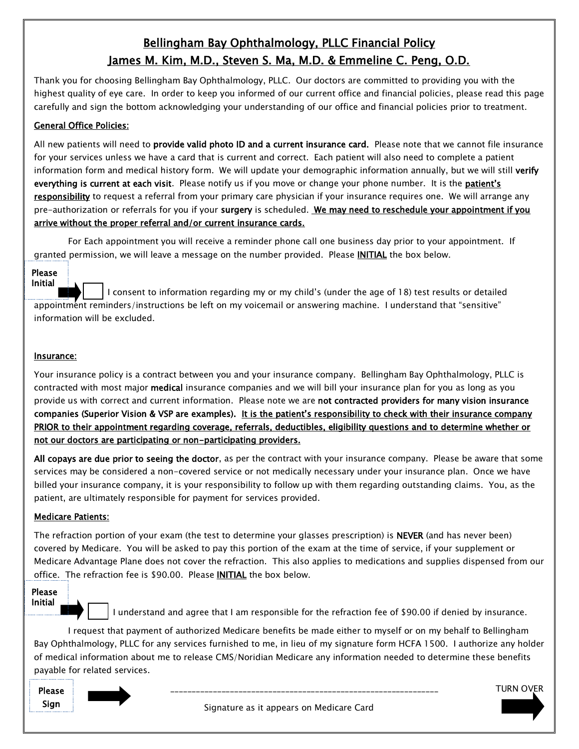# Bellingham Bay Ophthalmology, PLLC Financial Policy James M. Kim, M.D., Steven S. Ma, M.D. & Emmeline C. Peng, O.D.

Thank you for choosing Bellingham Bay Ophthalmology, PLLC. Our doctors are committed to providing you with the highest quality of eye care. In order to keep you informed of our current office and financial policies, please read this page carefully and sign the bottom acknowledging your understanding of our office and financial policies prior to treatment.

# General Office Policies:

All new patients will need to **provide valid photo ID and a current insurance card.** Please note that we cannot file insurance for your services unless we have a card that is current and correct. Each patient will also need to complete a patient information form and medical history form. We will update your demographic information annually, but we will still verify everything is current at each visit. Please notify us if you move or change your phone number. It is the patient's responsibility to request a referral from your primary care physician if your insurance requires one. We will arrange any pre-authorization or referrals for you if your surgery is scheduled. We may need to reschedule your appointment if you arrive without the proper referral and/or current insurance cards.

For Each appointment you will receive a reminder phone call one business day prior to your appointment. If granted permission, we will leave a message on the number provided. Please INITIAL the box below.

## Please Initial

 I consent to information regarding my or my child's (under the age of 18) test results or detailed appointment reminders/instructions be left on my voicemail or answering machine. I understand that "sensitive" information will be excluded.

## Insurance:

Your insurance policy is a contract between you and your insurance company. Bellingham Bay Ophthalmology, PLLC is contracted with most major medical insurance companies and we will bill your insurance plan for you as long as you provide us with correct and current information. Please note we are not contracted providers for many vision insurance companies (Superior Vision & VSP are examples). It is the patient's responsibility to check with their insurance company PRIOR to their appointment regarding coverage, referrals, deductibles, eligibility questions and to determine whether or not our doctors are participating or non-participating providers.

All copays are due prior to seeing the doctor, as per the contract with your insurance company. Please be aware that some services may be considered a non-covered service or not medically necessary under your insurance plan. Once we have billed your insurance company, it is your responsibility to follow up with them regarding outstanding claims. You, as the patient, are ultimately responsible for payment for services provided.

## Medicare Patients:

The refraction portion of your exam (the test to determine your glasses prescription) is NEVER (and has never been) covered by Medicare. You will be asked to pay this portion of the exam at the time of service, if your supplement or Medicare Advantage Plane does not cover the refraction. This also applies to medications and supplies dispensed from our office. The refraction fee is \$90.00. Please INITIAL the box below.

#### Please Initial



I understand and agree that I am responsible for the refraction fee of \$90.00 if denied by insurance.

I request that payment of authorized Medicare benefits be made either to myself or on my behalf to Bellingham Bay Ophthalmology, PLLC for any services furnished to me, in lieu of my signature form HCFA 1500. I authorize any holder of medical information about me to release CMS/Noridian Medicare any information needed to determine these benefits payable for related services.



Signature as it appears on Medicare Card